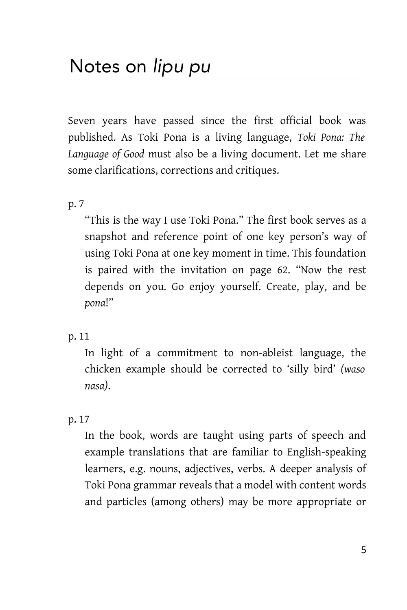Seven years have passed since the first official book was published. As Toki Pona is a living language, *Toki Pona: The Language of Good* must also be a living document. Let me share some clarifications, corrections and critiques.

p. 7

"This is the way I use Toki Pona." The first book serves as a snapshot and reference point of one key person's way of using Toki Pona at one key moment in time. This foundation is paired with the invitation on page 62. "Now the rest depends on you. Go enjoy yourself. Create, play, and be *pona*!"

# p. 11

In light of a commitment to non-ableist language, the chicken example should be corrected to 'silly bird' *(waso nasa)*.

# p. 17

In the book, words are taught using parts of speech and example translations that are familiar to English-speaking learners, e.g. nouns, adjectives, verbs. A deeper analysis of Toki Pona grammar reveals that a model with content words and particles (among others) may be more appropriate or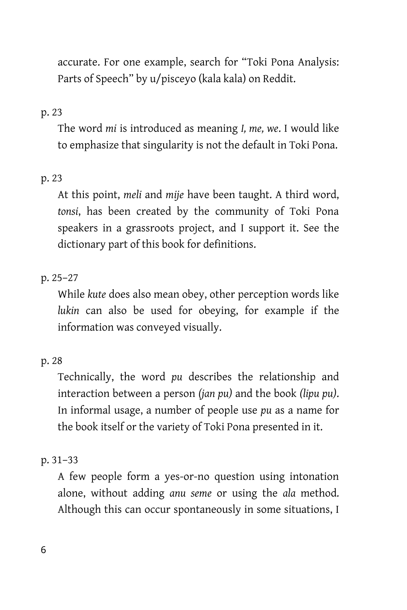accurate. For one example, search for "Toki Pona Analysis: Parts of Speech" by u/pisceyo (kala kala) on Reddit.

## p. 23

The word *mi* is introduced as meaning *I, me, we*. I would like to emphasize that singularity is not the default in Toki Pona.

## p. 23

At this point, *meli* and *mije* have been taught. A third word, *tonsi*, has been created by the community of Toki Pona speakers in a grassroots project, and I support it. See the dictionary part of this book for definitions.

## p. 25–27

While *kute* does also mean obey, other perception words like *lukin* can also be used for obeying, for example if the information was conveyed visually.

## p. 28

Technically, the word *pu* describes the relationship and interaction between a person *(jan pu)* and the book *(lipu pu)*. In informal usage, a number of people use *pu* as a name for the book itself or the variety of Toki Pona presented in it.

### p. 31–33

A few people form a yes-or-no question using intonation alone, without adding *anu seme* or using the *ala* method. Although this can occur spontaneously in some situations, I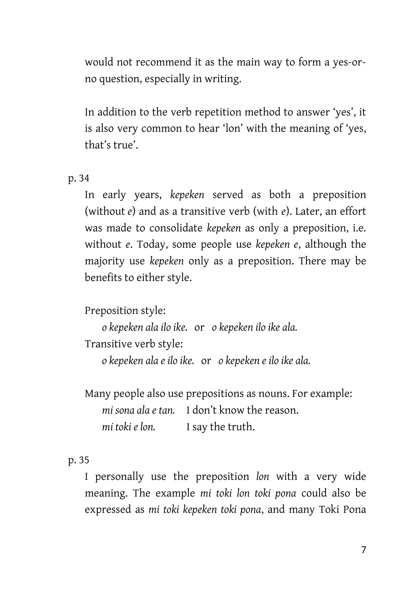would not recommend it as the main way to form a yes-orno question, especially in writing.

In addition to the verb repetition method to answer 'yes', it is also very common to hear 'lon' with the meaning of 'yes, that's true'.

p. 34

In early years, *kepeken* served as both a preposition (without *e*) and as a transitive verb (with *e*). Later, an effort was made to consolidate *kepeken* as only a preposition, i.e. without *e*. Today, some people use *kepeken e*, although the majority use *kepeken* only as a preposition. There may be benefits to either style.

Preposition style:

*o kepeken ala ilo ike.* or *o kepeken ilo ike ala.*

Transitive verb style:

*o kepeken ala e ilo ike.* or *o kepeken e ilo ike ala.* 

Many people also use prepositions as nouns. For example: *mi sona ala e tan.* I don't know the reason. *mi toki e lon.* I say the truth.

## p. 35

I personally use the preposition *lon* with a very wide meaning. The example *mi toki lon toki pona* could also be expressed as *mi toki kepeken toki pona*, and many Toki Pona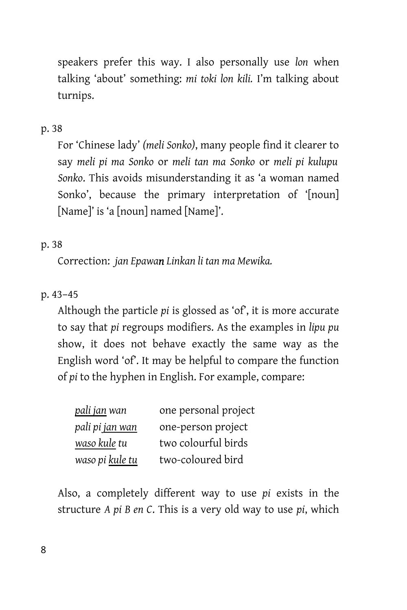speakers prefer this way. I also personally use *lon* when talking 'about' something: *mi toki lon kili.* I'm talking about turnips.

## p. 38

For 'Chinese lady' *(meli Sonko)*, many people find it clearer to say *meli pi ma Sonko* or *meli tan ma Sonko* or *meli pi kulupu Sonko*. This avoids misunderstanding it as 'a woman named Sonko', because the primary interpretation of '[noun] [Name]' is 'a [noun] named [Name]'.

## p. 38

Correction: *jan Epawan Linkan li tan ma Mewika.*

# p. 43–45

Although the particle *pi* is glossed as 'of', it is more accurate to say that *pi* regroups modifiers. As the examples in *lipu pu* show, it does not behave exactly the same way as the English word 'of'. It may be helpful to compare the function of *pi* to the hyphen in English. For example, compare:

| pali jan wan           | one personal project |
|------------------------|----------------------|
| pali pi <u>jan wan</u> | one-person project   |
| waso kule tu           | two colourful birds  |
| waso pi <u>kule tu</u> | two-coloured bird    |

Also, a completely different way to use *pi* exists in the structure *A pi B en C*. This is a very old way to use *pi*, which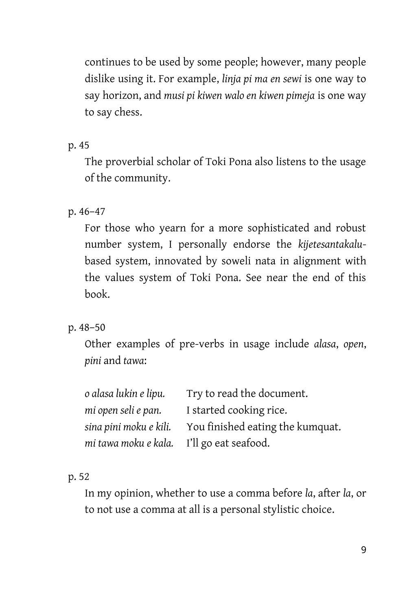continues to be used by some people; however, many people dislike using it. For example, *linja pi ma en sewi* is one way to say horizon, and *musi pi kiwen walo en kiwen pimeja* is one way to say chess.

p. 45

The proverbial scholar of Toki Pona also listens to the usage of the community.

p. 46–47

For those who yearn for a more sophisticated and robust number system, I personally endorse the *kijetesantakalu*based system, innovated by soweli nata in alignment with the values system of Toki Pona. See near the end of this book.

p. 48–50

Other examples of pre-verbs in usage include *alasa*, *open*, *pini* and *tawa*:

| o alasa lukin e lipu.                     | Try to read the document.        |
|-------------------------------------------|----------------------------------|
| mi open seli e pan.                       | I started cooking rice.          |
| sina pini moku e kili.                    | You finished eating the kumquat. |
| mi tawa moku e kala. I'll go eat seafood. |                                  |

p. 52

In my opinion, whether to use a comma before *la*, after *la*, or to not use a comma at all is a personal stylistic choice.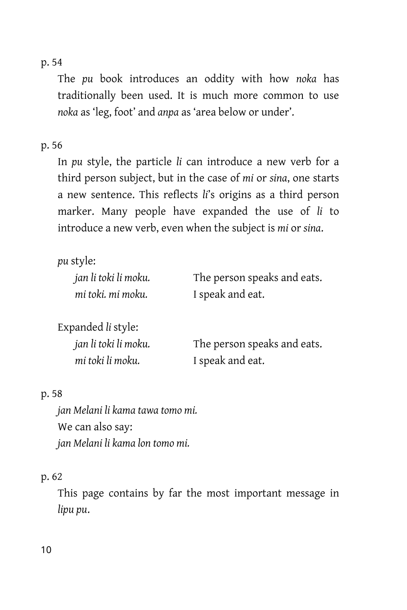p. 54

The *pu* book introduces an oddity with how *noka* has traditionally been used. It is much more common to use *noka* as 'leg, foot' and *anpa* as 'area below or under'.

### p. 56

In *pu* style, the particle *li* can introduce a new verb for a third person subject, but in the case of *mi* or *sina*, one starts a new sentence. This reflects *li*'s origins as a third person marker. Many people have expanded the use of *li* to introduce a new verb, even when the subject is *mi* or *sina*.

*pu* style: *jan li toki li moku.* The person speaks and eats. *mi toki. mi moku.* I speak and eat. Expanded *li* style: *jan li toki li moku.* The person speaks and eats.

*mi toki li moku.* I speak and eat.

#### p. 58

*jan Melani li kama tawa tomo mi.* We can also say: *jan Melani li kama lon tomo mi.*

### p. 62

This page contains by far the most important message in *lipu pu*.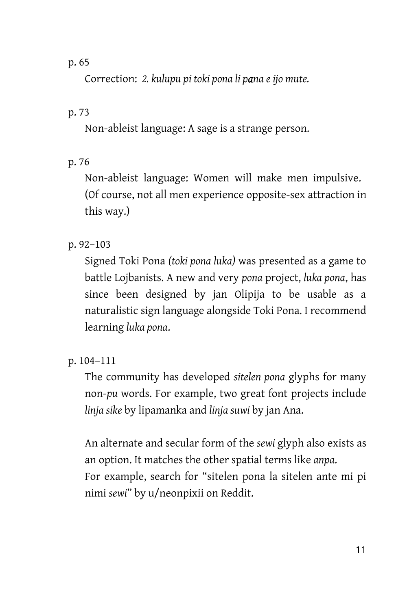### p. 65

Correction: *2. kulupu pi toki pona li pana e ijo mute.*

## p. 73

Non-ableist language: A sage is a strange person.

## p. 76

Non-ableist language: Women will make men impulsive. (Of course, not all men experience opposite-sex attraction in this way.)

## p. 92–103

Signed Toki Pona *(toki pona luka)* was presented as a game to battle Lojbanists. A new and very *pona* project, *luka pona*, has since been designed by jan Olipija to be usable as a naturalistic sign language alongside Toki Pona. I recommend learning *luka pona*.

# p. 104–111

The community has developed *sitelen pona* glyphs for many non-*pu* words. For example, two great font projects include *linja sike* by lipamanka and *linja suwi* by jan Ana.

An alternate and secular form of the *sewi* glyph also exists as an option. It matches the other spatial terms like *anpa*. For example, search for "sitelen pona la sitelen ante mi pi nimi *sewi*" by u/neonpixii on Reddit.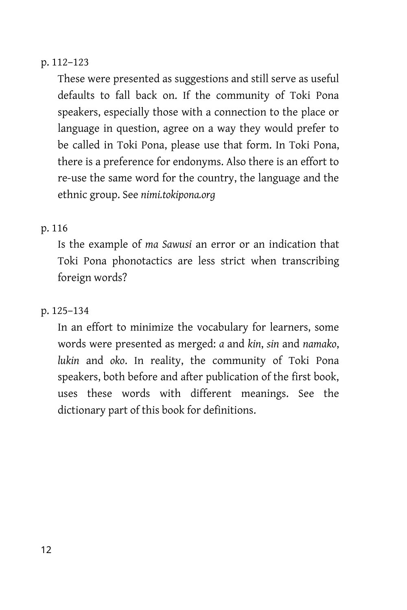## p. 112–123

These were presented as suggestions and still serve as useful defaults to fall back on. If the community of Toki Pona speakers, especially those with a connection to the place or language in question, agree on a way they would prefer to be called in Toki Pona, please use that form. In Toki Pona, there is a preference for endonyms. Also there is an effort to re-use the same word for the country, the language and the ethnic group. See *nimi.tokipona.org*

## p. 116

Is the example of *ma Sawusi* an error or an indication that Toki Pona phonotactics are less strict when transcribing foreign words?

### p. 125–134

In an effort to minimize the vocabulary for learners, some words were presented as merged: *a* and *kin*, *sin* and *namako*, *lukin* and *oko*. In reality, the community of Toki Pona speakers, both before and after publication of the first book, uses these words with different meanings. See the dictionary part of this book for definitions.